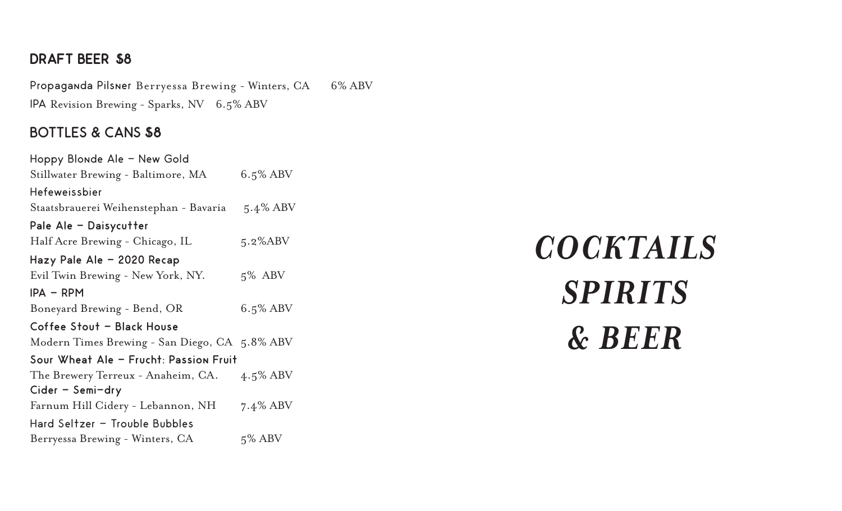#### **DRAFT BEER \$8**

Propaganda Pilsner Berryessa Brewing - Winters, CA 6% ABV IPA Revision Brewing - Sparks, NV 6.5% ABV

#### BOTTLES & CANS **\$8**

Hoppy Blonde Ale - New Gold Stillwater Brewing - Baltimore, MA 6.5% ABV Hefeweissbier Staatsbrauerei Weihenstephan - Bavaria 5.4% ABV Pale Ale - Daisycutter Half Acre Brewing - Chicago, IL 5.2%ABV Hazy Pale Ale - 2020 Recap Evil Twin Brewing - New York, NY. 5% ABV IPA - RPM Boneyard Brewing - Bend, OR 6.5% ABV Coffee Stout - Black House Modern Times Brewing - San Diego, CA 5.8% ABV Sour Wheat Ale - Frucht: Passion Fruit The Brewery Terreux - Anaheim, CA. 4.5% ABV Cider - Semi-dry Farnum Hill Cidery - Lebannon, NH 7.4% ABV Hard Seltzer - Trouble Bubbles Berryessa Brewing - Winters, CA 5% ABV

*COCKTAILS SPIRITS & BEER*